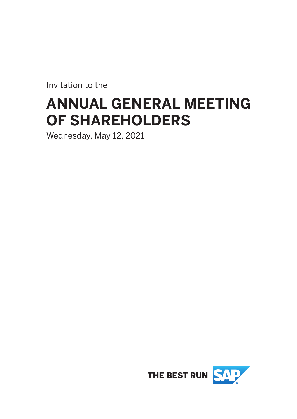Invitation to the

# **ANNUAL GENERAL MEETING OF SHAREHOLDERS**

Wednesday, May 12, 2021

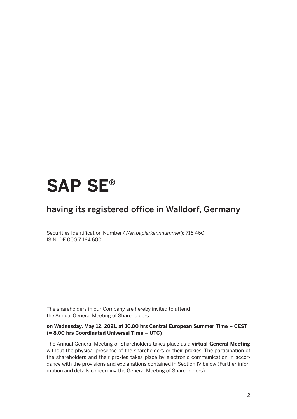# **SAP SE®**

### having its registered office in Walldorf, Germany

Securities Identification Number (*Wertpapierkennnummer*): 716 460 ISIN: DE 000 7 164 600

The shareholders in our Company are hereby invited to attend the Annual General Meeting of Shareholders

#### **on Wednesday, May 12, 2021, at 10.00 hrs Central European Summer Time – CEST (= 8.00 hrs Coordinated Universal Time – UTC)**

The Annual General Meeting of Shareholders takes place as a **virtual General Meeting**  without the physical presence of the shareholders or their proxies. The participation of the shareholders and their proxies takes place by electronic communication in accordance with the provisions and explanations contained in Section IV below (Further information and details concerning the General Meeting of Shareholders).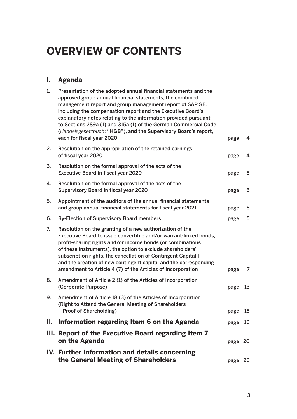# **OVERVIEW OF CONTENTS**

### **I. Agenda**

|    | IV. Further information and details concerning<br>the General Meeting of Shareholders                                                                                                                                                                                                                                                                                                                                                                                                        | page 26 |    |
|----|----------------------------------------------------------------------------------------------------------------------------------------------------------------------------------------------------------------------------------------------------------------------------------------------------------------------------------------------------------------------------------------------------------------------------------------------------------------------------------------------|---------|----|
|    | III. Report of the Executive Board regarding Item 7<br>on the Agenda                                                                                                                                                                                                                                                                                                                                                                                                                         | page 20 |    |
| Ш. | Information regarding Item 6 on the Agenda                                                                                                                                                                                                                                                                                                                                                                                                                                                   | page 16 |    |
| 9. | Amendment of Article 18 (3) of the Articles of Incorporation<br>(Right to Attend the General Meeting of Shareholders<br>- Proof of Shareholding)                                                                                                                                                                                                                                                                                                                                             | page    | 15 |
| 8. | Amendment of Article 2 (1) of the Articles of Incorporation<br>(Corporate Purpose)                                                                                                                                                                                                                                                                                                                                                                                                           | page    | 13 |
| 7. | Resolution on the granting of a new authorization of the<br>Executive Board to issue convertible and/or warrant-linked bonds,<br>profit-sharing rights and/or income bonds (or combinations<br>of these instruments), the option to exclude shareholders'<br>subscription rights, the cancellation of Contingent Capital I<br>and the creation of new contingent capital and the corresponding<br>amendment to Article 4 (7) of the Articles of Incorporation                                | page    | 7  |
| 6. | <b>By-Election of Supervisory Board members</b>                                                                                                                                                                                                                                                                                                                                                                                                                                              | page    | 5  |
| 5. | Appointment of the auditors of the annual financial statements<br>and group annual financial statements for fiscal year 2021                                                                                                                                                                                                                                                                                                                                                                 | page    | 5  |
| 4. | Resolution on the formal approval of the acts of the<br>Supervisory Board in fiscal year 2020                                                                                                                                                                                                                                                                                                                                                                                                | page    | 5  |
| 3. | Resolution on the formal approval of the acts of the<br>Executive Board in fiscal year 2020                                                                                                                                                                                                                                                                                                                                                                                                  | page    | 5  |
| 2. | Resolution on the appropriation of the retained earnings<br>of fiscal year 2020                                                                                                                                                                                                                                                                                                                                                                                                              | page    | 4  |
| 1. | Presentation of the adopted annual financial statements and the<br>approved group annual financial statements, the combined<br>management report and group management report of SAP SE,<br>including the compensation report and the Executive Board's<br>explanatory notes relating to the information provided pursuant<br>to Sections 289a (1) and 315a (1) of the German Commercial Code<br>(Handelsgesetzbuch; "HGB"), and the Supervisory Board's report,<br>each for fiscal year 2020 | page    | 4  |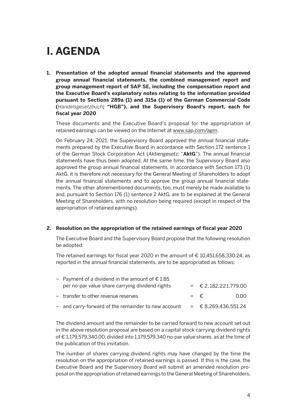## **I. AGENDA**

**1. Presentation of the adopted annual financial statements and the approved group annual financial statements, the combined management report and group management report of SAP SE, including the compensation report and the Executive Board's explanatory notes relating to the information provided pursuant to Sections 289a (1) and 315a (1) of the German Commercial Code (***Handelsgesetzbuch***; "HGB"), and the Supervisory Board's report, each for fiscal year 2020**

 These documents and the Executive Board's proposal for the appropriation of retained earnings can be viewed on the Internet at www.sap.com/agm.

 On February 24, 2021, the Supervisory Board approved the annual financial statements prepared by the Executive Board in accordance with Section 172 sentence 1 of the German Stock Corporation Act (*Aktiengesetz*; "**AktG**"). The annual financial statements have thus been adopted. At the same time, the Supervisory Board also approved the group annual financial statements. In accordance with Section 173 (1) AktG, it is therefore not necessary for the General Meeting of Shareholders to adopt the annual financial statements and to approve the group annual financial statements. The other aforementioned documents, too, must merely be made available to and, pursuant to Section 176 (1) sentence 2 AktG, are to be explained at the General Meeting of Shareholders, with no resolution being required (except in respect of the appropriation of retained earnings).

#### **2. Resolution on the appropriation of the retained earnings of fiscal year 2020**

 The Executive Board and the Supervisory Board propose that the following resolution be adopted:

The retained earnings for fiscal year 2020 in the amount of  $\epsilon$  10,451,658,330.24, as reported in the annual financial statements, are to be appropriated as follows:

| - Payment of a dividend in the amount of $\epsilon$ 1.85 |                        |      |
|----------------------------------------------------------|------------------------|------|
| per no-par value share carrying dividend rights          | $=$ € 2,182,221,779.00 |      |
| - transfer to other revenue reserves                     | $=$ $\epsilon$         | 0.00 |
| - and carry-forward of the remainder to new account      | $=$ € 8,269,436,551.24 |      |

 The dividend amount and the remainder to be carried forward to new account set out in the above resolution proposal are based on a capital stock carrying dividend rights of € 1,179,579,340.00, divided into 1,179,579,340 no-par value shares, as at the time of the publication of this invitation.

 The number of shares carrying dividend rights may have changed by the time the resolution on the appropriation of retained earnings is passed. If this is the case, the Executive Board and the Supervisory Board will submit an amended resolution proposal on the appropriation of retained earnings to the General Meeting of Shareholders,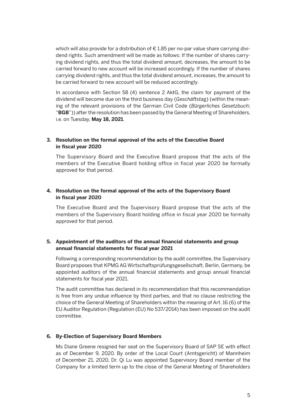which will also provide for a distribution of € 1.85 per no-par value share carrying dividend rights. Such amendment will be made as follows: If the number of shares carrying dividend rights, and thus the total dividend amount, decreases, the amount to be carried forward to new account will be increased accordingly. If the number of shares carrying dividend rights, and thus the total dividend amount, increases, the amount to be carried forward to new account will be reduced accordingly.

 In accordance with Section 58 (4) sentence 2 AktG, the claim for payment of the dividend will become due on the third business day (*Geschäftsta*g) (within the meaning of the relevant provisions of the German Civil Code (*Bürgerliches Gesetzbuch*; "**BGB**")) after the resolution has been passed by the General Meeting of Shareholders, i.e. on Tuesday, **May 18, 2021**.

#### **3. Resolution on the formal approval of the acts of the Executive Board in fiscal year 2020**

 The Supervisory Board and the Executive Board propose that the acts of the members of the Executive Board holding office in fiscal year 2020 be formally approved for that period.

#### **4. Resolution on the formal approval of the acts of the Supervisory Board in fiscal year 2020**

 The Executive Board and the Supervisory Board propose that the acts of the members of the Supervisory Board holding office in fiscal year 2020 be formally approved for that period.

#### **5. Appointment of the auditors of the annual financial statements and group annual financial statements for fiscal year 2021**

 Following a corresponding recommendation by the audit committee, the Supervisory Board proposes that KPMG AG Wirtschaftsprüfungsgesellschaft, Berlin, Germany, be appointed auditors of the annual financial statements and group annual financial statements for fiscal year 2021.

 The audit committee has declared in its recommendation that this recommendation is free from any undue influence by third parties, and that no clause restricting the choice of the General Meeting of Shareholders within the meaning of Art. 16 (6) of the EU Auditor Regulation (Regulation (EU) No 537/2014) has been imposed on the audit committee.

#### **6. By-Election of Supervisory Board Members**

 Ms Diane Greene resigned her seat on the Supervisory Board of SAP SE with effect as of December 9, 2020. By order of the Local Court (Amtsgericht) of Mannheim of December 21, 2020, Dr. Qi Lu was appointed Supervisory Board member of the Company for a limited term up to the close of the General Meeting of Shareholders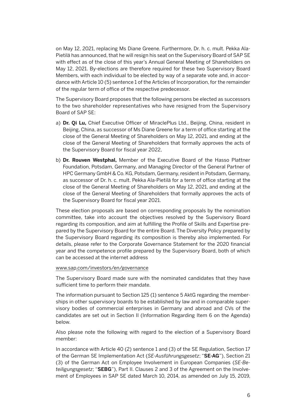on May 12, 2021, replacing Ms Diane Greene. Furthermore, Dr. h. c. mult. Pekka Ala-Pietilä has announced, that he will resign his seat on the Supervisory Board of SAP SE with effect as of the close of this year's Annual General Meeting of Shareholders on May 12, 2021. By-elections are therefore required for these two Supervisory Board Members, with each individual to be elected by way of a separate vote and, in accordance with Article 10 (5) sentence 1 of the Articles of Incorporation, for the remainder of the regular term of office of the respective predecessor.

 The Supervisory Board proposes that the following persons be elected as successors to the two shareholder representatives who have resigned from the Supervisory Board of SAP SE:

- a) **Dr. Qi Lu,** Chief Executive Officer of MiraclePlus Ltd., Beijing, China, resident in Beijing, China, as successor of Ms Diane Greene for a term of office starting at the close of the General Meeting of Shareholders on May 12, 2021, and ending at the close of the General Meeting of Shareholders that formally approves the acts of the Supervisory Board for fiscal year 2022,
- b) **Dr. Rouven Westphal,** Member of the Executive Board of the Hasso Plattner Foundation, Potsdam, Germany, and Managing Director of the General Partner of HPC Germany GmbH & Co. KG, Potsdam, Germany, resident in Potsdam, Germany, as successor of Dr. h. c. mult. Pekka Ala-Pietilä for a term of office starting at the close of the General Meeting of Shareholders on May 12, 2021, and ending at the close of the General Meeting of Shareholders that formally approves the acts of the Supervisory Board for fiscal year 2021.

 These election proposals are based on corresponding proposals by the nomination committee, take into account the objectives resolved by the Supervisory Board regarding its composition, and aim at fulfilling the Profile of Skills and Expertise prepared by the Supervisory Board for the entire Board. The Diversity Policy prepared by the Supervisory Board regarding its composition is thereby also implemented. For details, please refer to the Corporate Governance Statement for the 2020 financial year and the competence profile prepared by the Supervisory Board, both of which can be accessed at the internet address

#### www.sap.com/investors/en/governance

 The Supervisory Board made sure with the nominated candidates that they have sufficient time to perform their mandate.

 The information pursuant to Section 125 (1) sentence 5 AktG regarding the memberships in other supervisory boards to be established by law and in comparable supervisory bodies of commercial enterprises in Germany and abroad and CVs of the candidates are set out in Section II (Information Regarding Item 6 on the Agenda) below.

 Also please note the following with regard to the election of a Supervisory Board member:

 In accordance with Article 40 (2) sentence 1 and (3) of the SE Regulation, Section 17 of the German SE Implementation Act (*SE-Ausführungsgesetz*; "**SE-AG**"), Section 21 (3) of the German Act on Employee Involvement in European Companies (*SE-Beteiligungsgesetz*; "**SEBG**"), Part II. Clauses 2 and 3 of the Agreement on the Involvement of Employees in SAP SE dated March 10, 2014, as amended on July 15, 2019,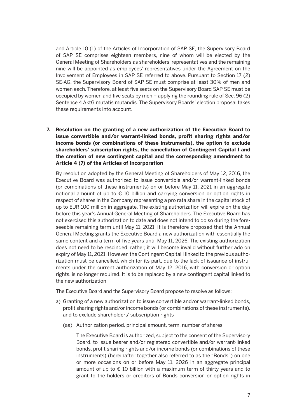and Article 10 (1) of the Articles of Incorporation of SAP SE, the Supervisory Board of SAP SE comprises eighteen members, nine of whom will be elected by the General Meeting of Shareholders as shareholders' representatives and the remaining nine will be appointed as employees' representatives under the Agreement on the Involvement of Employees in SAP SE referred to above. Pursuant to Section 17 (2) SE-AG, the Supervisory Board of SAP SE must comprise at least 30% of men and women each. Therefore, at least five seats on the Supervisory Board SAP SE must be occupied by women and five seats by men – applying the rounding rule of Sec. 96 (2) Sentence 4 AktG mutatis mutandis. The Supervisory Boards' election proposal takes these requirements into account.

**7. Resolution on the granting of a new authorization of the Executive Board to issue convertible and/or warrant-linked bonds, profit sharing rights and/or income bonds (or combinations of these instruments), the option to exclude shareholders' subscription rights, the cancellation of Contingent Capital I and the creation of new contingent capital and the corresponding amendment to Article 4 (7) of the Articles of Incorporation** 

 By resolution adopted by the General Meeting of Shareholders of May 12, 2016, the Executive Board was authorized to issue convertible and/or warrant-linked bonds (or combinations of these instruments) on or before May 11, 2021 in an aggregate notional amount of up to  $\epsilon$  10 billion and carrying conversion or option rights in respect of shares in the Company representing a pro rata share in the capital stock of up to EUR 100 million in aggregate. The existing authorization will expire on the day before this year's Annual General Meeting of Shareholders. The Executive Board has not exercised this authorization to date and does not intend to do so during the foreseeable remaining term until May 11, 2021. It is therefore proposed that the Annual General Meeting grants the Executive Board a new authorization with essentially the same content and a term of five years until May 11, 2026. The existing authorization does not need to be rescinded; rather, it will become invalid without further ado on expiry of May 11, 2021. However, the Contingent Capital I linked to the previous authorization must be cancelled, which for its part, due to the lack of issuance of instruments under the current authorization of May 12, 2016, with conversion or option rights, is no longer required. It is to be replaced by a new contingent capital linked to the new authorization.

The Executive Board and the Supervisory Board propose to resolve as follows:

- a) Granting of a new authorization to issue convertible and/or warrant-linked bonds, profit sharing rights and/or income bonds (or combinations of these instruments), and to exclude shareholders' subscription rights
	- (aa) Authorization period, principal amount, term, number of shares

 The Executive Board is authorized, subject to the consent of the Supervisory Board, to issue bearer and/or registered convertible and/or warrant-linked bonds, profit sharing rights and/or income bonds (or combinations of these instruments) (hereinafter together also referred to as the "Bonds") on one or more occasions on or before May 11, 2026 in an aggregate principal amount of up to  $\epsilon$  10 billion with a maximum term of thirty years and to grant to the holders or creditors of Bonds conversion or option rights in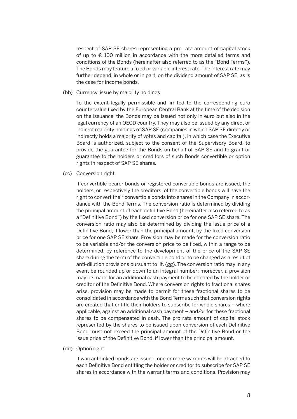respect of SAP SE shares representing a pro rata amount of capital stock of up to  $\epsilon$  100 million in accordance with the more detailed terms and conditions of the Bonds (hereinafter also referred to as the "Bond Terms"). The Bonds may feature a fixed or variable interest rate. The interest rate may further depend, in whole or in part, on the dividend amount of SAP SE, as is the case for income bonds.

(bb) Currency, issue by majority holdings

 To the extent legally permissible and limited to the corresponding euro countervalue fixed by the European Central Bank at the time of the decision on the issuance, the Bonds may be issued not only in euro but also in the legal currency of an OECD country. They may also be issued by any direct or indirect majority holdings of SAP SE (companies in which SAP SE directly or indirectly holds a majority of votes and capital), in which case the Executive Board is authorized, subject to the consent of the Supervisory Board, to provide the guarantee for the Bonds on behalf of SAP SE and to grant or guarantee to the holders or creditors of such Bonds convertible or option rights in respect of SAP SE shares.

(cc) Conversion right

 If convertible bearer bonds or registered convertible bonds are issued, the holders, or respectively the creditors, of the convertible bonds will have the right to convert their convertible bonds into shares in the Company in accordance with the Bond Terms. The conversion ratio is determined by dividing the principal amount of each definitive Bond (hereinafter also referred to as a "Definitive Bond") by the fixed conversion price for one SAP SE share. The conversion ratio may also be determined by dividing the issue price of a Definitive Bond, if lower than the principal amount, by the fixed conversion price for one SAP SE share. Provision may be made for the conversion ratio to be variable and/or the conversion price to be fixed, within a range to be determined, by reference to the development of the price of the SAP SE share during the term of the convertible bond or to be changed as a result of anti-dilution provisions pursuant to lit. (gg). The conversion ratio may in any event be rounded up or down to an integral number; moreover, a provision may be made for an additional cash payment to be effected by the holder or creditor of the Definitive Bond. Where conversion rights to fractional shares arise, provision may be made to permit for these fractional shares to be consolidated in accordance with the Bond Terms such that conversion rights are created that entitle their holders to subscribe for whole shares – where applicable, against an additional cash payment – and/or for these fractional shares to be compensated in cash. The pro rata amount of capital stock represented by the shares to be issued upon conversion of each Definitive Bond must not exceed the principal amount of the Definitive Bond or the issue price of the Definitive Bond, if lower than the principal amount.

(dd) Option right

 If warrant-linked bonds are issued, one or more warrants will be attached to each Definitive Bond entitling the holder or creditor to subscribe for SAP SE shares in accordance with the warrant terms and conditions. Provision may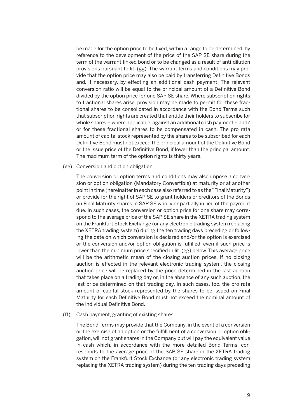be made for the option price to be fixed, within a range to be determined, by reference to the development of the price of the SAP SE share during the term of the warrant-linked bond or to be changed as a result of anti-dilution provisions pursuant to lit. (gg). The warrant terms and conditions may provide that the option price may also be paid by transferring Definitive Bonds and, if necessary, by effecting an additional cash payment. The relevant conversion ratio will be equal to the principal amount of a Definitive Bond divided by the option price for one SAP SE share. Where subscription rights to fractional shares arise, provision may be made to permit for these fractional shares to be consolidated in accordance with the Bond Terms such that subscription rights are created that entitle their holders to subscribe for whole shares – where applicable, against an additional cash payment – and/ or for these fractional shares to be compensated in cash. The pro rata amount of capital stock represented by the shares to be subscribed for each Definitive Bond must not exceed the principal amount of the Definitive Bond or the issue price of the Definitive Bond, if lower than the principal amount. The maximum term of the option rights is thirty years.

(ee) Conversion and option obligation

 The conversion or option terms and conditions may also impose a conversion or option obligation (Mandatory Convertible) at maturity or at another point in time (hereinafter in each case also referred to as the "Final Maturity") or provide for the right of SAP SE to grant holders or creditors of the Bonds on Final Maturity shares in SAP SE wholly or partially in lieu of the payment due. In such cases, the conversion or option price for one share may correspond to the average price of the SAP SE share in the XETRA trading system on the Frankfurt Stock Exchange (or any electronic trading system replacing the XETRA trading system) during the ten trading days preceding or following the date on which conversion is declared and/or the option is exercised or the conversion and/or option obligation is fulfilled, even if such price is lower than the minimum price specified in lit. (gg) below. This average price will be the arithmetic mean of the closing auction prices. If no closing auction is effected in the relevant electronic trading system, the closing auction price will be replaced by the price determined in the last auction that takes place on a trading day or, in the absence of any such auction, the last price determined on that trading day. In such cases, too, the pro rata amount of capital stock represented by the shares to be issued on Final Maturity for each Definitive Bond must not exceed the nominal amount of the individual Definitive Bond.

(ff) Cash payment, granting of existing shares

 The Bond Terms may provide that the Company, in the event of a conversion or the exercise of an option or the fulfillment of a conversion or option obligation, will not grant shares in the Company but will pay the equivalent value in cash which, in accordance with the more detailed Bond Terms, corresponds to the average price of the SAP SE share in the XETRA trading system on the Frankfurt Stock Exchange (or any electronic trading system replacing the XETRA trading system) during the ten trading days preceding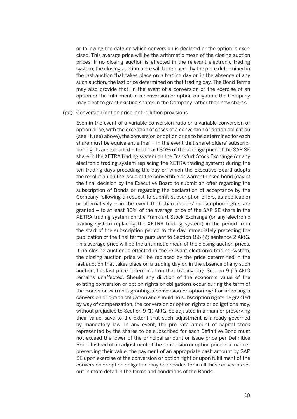or following the date on which conversion is declared or the option is exercised. This average price will be the arithmetic mean of the closing auction prices. If no closing auction is effected in the relevant electronic trading system, the closing auction price will be replaced by the price determined in the last auction that takes place on a trading day or, in the absence of any such auction, the last price determined on that trading day. The Bond Terms may also provide that, in the event of a conversion or the exercise of an option or the fulfillment of a conversion or option obligation, the Company may elect to grant existing shares in the Company rather than new shares.

#### (gg) Conversion/option price, anti-dilution provisions

 Even in the event of a variable conversion ratio or a variable conversion or option price, with the exception of cases of a conversion or option obligation (see lit. (ee) above), the conversion or option price to be determined for each share must be equivalent either – in the event that shareholders' subscription rights are excluded – to at least 80% of the average price of the SAP SE share in the XETRA trading system on the Frankfurt Stock Exchange (or any electronic trading system replacing the XETRA trading system) during the ten trading days preceding the day on which the Executive Board adopts the resolution on the issue of the convertible or warrant-linked bond (day of the final decision by the Executive Board to submit an offer regarding the subscription of Bonds or regarding the declaration of acceptance by the Company following a request to submit subscription offers, as applicable) or alternatively – in the event that shareholders' subscription rights are granted – to at least 80% of the average price of the SAP SE share in the XETRA trading system on the Frankfurt Stock Exchange (or any electronic trading system replacing the XETRA trading system) in the period from the start of the subscription period to the day immediately preceding the publication of the final terms pursuant to Section 186 (2) sentence 2 AktG. This average price will be the arithmetic mean of the closing auction prices. If no closing auction is effected in the relevant electronic trading system, the closing auction price will be replaced by the price determined in the last auction that takes place on a trading day or, in the absence of any such auction, the last price determined on that trading day. Section 9 (1) AktG remains unaffected. Should any dilution of the economic value of the existing conversion or option rights or obligations occur during the term of the Bonds or warrants granting a conversion or option right or imposing a conversion or option obligation and should no subscription rights be granted by way of compensation, the conversion or option rights or obligations may, without prejudice to Section 9 (1) AktG, be adjusted in a manner preserving their value, save to the extent that such adjustment is already governed by mandatory law. In any event, the pro rata amount of capital stock represented by the shares to be subscribed for each Definitive Bond must not exceed the lower of the principal amount or issue price per Definitive Bond. Instead of an adjustment of the conversion or option price in a manner preserving their value, the payment of an appropriate cash amount by SAP SE upon exercise of the conversion or option right or upon fulfillment of the conversion or option obligation may be provided for in all these cases, as set out in more detail in the terms and conditions of the Bonds.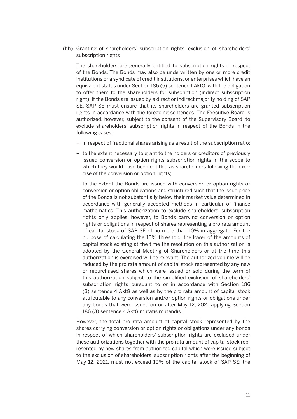(hh) Granting of shareholders' subscription rights, exclusion of shareholders' subscription rights

 The shareholders are generally entitled to subscription rights in respect of the Bonds. The Bonds may also be underwritten by one or more credit institutions or a syndicate of credit institutions, or enterprises which have an equivalent status under Section 186 (5) sentence 1 AktG, with the obligation to offer them to the shareholders for subscription (indirect subscription right). If the Bonds are issued by a direct or indirect majority holding of SAP SE, SAP SE must ensure that its shareholders are granted subscription rights in accordance with the foregoing sentences. The Executive Board is authorized, however, subject to the consent of the Supervisory Board, to exclude shareholders' subscription rights in respect of the Bonds in the following cases:

- in respect of fractional shares arising as a result of the subscription ratio;
- to the extent necessary to grant to the holders or creditors of previously issued conversion or option rights subscription rights in the scope to which they would have been entitled as shareholders following the exercise of the conversion or option rights;
- to the extent the Bonds are issued with conversion or option rights or conversion or option obligations and structured such that the issue price of the Bonds is not substantially below their market value determined in accordance with generally accepted methods in particular of finance mathematics. This authorization to exclude shareholders' subscription rights only applies, however, to Bonds carrying conversion or option rights or obligations in respect of shares representing a pro rata amount of capital stock of SAP SE of no more than 10% in aggregate. For the purpose of calculating the 10% threshold, the lower of the amounts of capital stock existing at the time the resolution on this authorization is adopted by the General Meeting of Shareholders or at the time this authorization is exercised will be relevant. The authorized volume will be reduced by the pro rata amount of capital stock represented by any new or repurchased shares which were issued or sold during the term of this authorization subject to the simplified exclusion of shareholders' subscription rights pursuant to or in accordance with Section 186 (3) sentence 4 AktG as well as by the pro rata amount of capital stock attributable to any conversion and/or option rights or obligations under any bonds that were issued on or after May 12, 2021 applying Section 186 (3) sentence 4 AktG mutatis mutandis.

 However, the total pro rata amount of capital stock represented by the shares carrying conversion or option rights or obligations under any bonds in respect of which shareholders' subscription rights are excluded under these authorizations together with the pro rata amount of capital stock represented by new shares from authorized capital which were issued subject to the exclusion of shareholders' subscription rights after the beginning of May 12, 2021, must not exceed 10% of the capital stock of SAP SE; the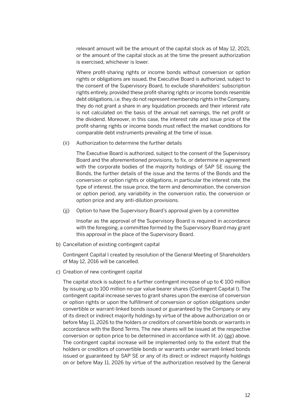relevant amount will be the amount of the capital stock as of May 12, 2021, or the amount of the capital stock as at the time the present authorization is exercised, whichever is lower.

 Where profit-sharing rights or income bonds without conversion or option rights or obligations are issued, the Executive Board is authorized, subject to the consent of the Supervisory Board, to exclude shareholders' subscription rights entirely, provided these profit-sharing rights or income bonds resemble debt obligations, i.e. they do not represent membership rights in the Company, they do not grant a share in any liquidation proceeds and their interest rate is not calculated on the basis of the annual net earnings, the net profit or the dividend. Moreover, in this case, the interest rate and issue price of the profit-sharing rights or income bonds must reflect the market conditions for comparable debt instruments prevailing at the time of issue.

(ii) Authorization to determine the further details

 The Executive Board is authorized, subject to the consent of the Supervisory Board and the aforementioned provisions, to fix, or determine in agreement with the corporate bodies of the majority holdings of SAP SE issuing the Bonds, the further details of the issue and the terms of the Bonds and the conversion or option rights or obligations, in particular the interest rate, the type of interest, the issue price, the term and denomination, the conversion or option period, any variability in the conversion ratio, the conversion or option price and any anti-dilution provisions.

(jj) Option to have the Supervisory Board's approval given by a committee

 Insofar as the approval of the Supervisory Board is required in accordance with the foregoing, a committee formed by the Supervisory Board may grant this approval in the place of the Supervisory Board.

b) Cancellation of existing contingent capital

 Contingent Capital I created by resolution of the General Meeting of Shareholders of May 12, 2016 will be cancelled.

c) Creation of new contingent capital

The capital stock is subject to a further contingent increase of up to  $\epsilon$  100 million by issuing up to 100 million no-par value bearer shares (Contingent Capital I). The contingent capital increase serves to grant shares upon the exercise of conversion or option rights or upon the fulfillment of conversion or option obligations under convertible or warrant-linked bonds issued or guaranteed by the Company or any of its direct or indirect majority holdings by virtue of the above authorization on or before May 11, 2026 to the holders or creditors of convertible bonds or warrants in accordance with the Bond Terms. The new shares will be issued at the respective conversion or option price to be determined in accordance with lit. a) (gg) above. The contingent capital increase will be implemented only to the extent that the holders or creditors of convertible bonds or warrants under warrant-linked bonds issued or guaranteed by SAP SE or any of its direct or indirect majority holdings on or before May 11, 2026 by virtue of the authorization resolved by the General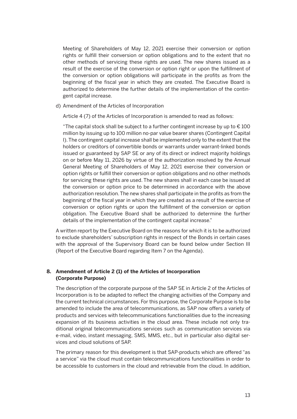Meeting of Shareholders of May 12, 2021 exercise their conversion or option rights or fulfill their conversion or option obligations and to the extent that no other methods of servicing these rights are used. The new shares issued as a result of the exercise of the conversion or option right or upon the fulfillment of the conversion or option obligations will participate in the profits as from the beginning of the fiscal year in which they are created. The Executive Board is authorized to determine the further details of the implementation of the contingent capital increase.

d) Amendment of the Articles of Incorporation

Article 4 (7) of the Articles of Incorporation is amended to read as follows:

"The capital stock shall be subject to a further contingent increase by up to  $€100$ million by issuing up to 100 million no-par value bearer shares (Contingent Capital I). The contingent capital increase shall be implemented only to the extent that the holders or creditors of convertible bonds or warrants under warrant-linked bonds issued or guaranteed by SAP SE or any of its direct or indirect majority holdings on or before May 11, 2026 by virtue of the authorization resolved by the Annual General Meeting of Shareholders of May 12, 2021 exercise their conversion or option rights or fulfill their conversion or option obligations and no other methods for servicing these rights are used. The new shares shall in each case be issued at the conversion or option price to be determined in accordance with the above authorization resolution. The new shares shall participate in the profits as from the beginning of the fiscal year in which they are created as a result of the exercise of conversion or option rights or upon the fulfillment of the conversion or option obligation. The Executive Board shall be authorized to determine the further details of the implementation of the contingent capital increase."

 A written report by the Executive Board on the reasons for which it is to be authorized to exclude shareholders' subscription rights in respect of the Bonds in certain cases with the approval of the Supervisory Board can be found below under Section III (Report of the Executive Board regarding Item 7 on the Agenda).

#### **8. Amendment of Article 2 (1) of the Articles of Incorporation (Corporate Purpose)**

 The description of the corporate purpose of the SAP SE in Article 2 of the Articles of Incorporation is to be adapted to reflect the changing activities of the Company and the current technical circumstances. For this purpose, the Corporate Purpose is to be amended to include the area of telecommunications, as SAP now offers a variety of products and services with telecommunications functionalities due to the increasing expansion of its business activities in the cloud area. These include not only traditional original telecommunications services such as communication services via e-mail, video, instant messaging, SMS, MMS, etc., but in particular also digital services and cloud solutions of SAP.

 The primary reason for this development is that SAP-products which are offered "as a service" via the cloud must contain telecommunications functionalities in order to be accessible to customers in the cloud and retrievable from the cloud. In addition,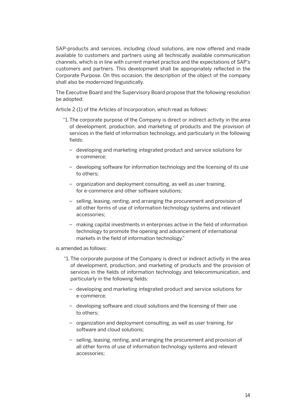SAP-products and services, including cloud solutions, are now offered and made available to customers and partners using all technically available communication channels, which is in line with current market practice and the expectations of SAP's customers and partners. This development shall be appropriately reflected in the Corporate Purpose. On this occasion, the description of the object of the company shall also be modernized linguistically.

 The Executive Board and the Supervisory Board propose that the following resolution be adopted:

Article 2 (1) of the Articles of Incorporation, which read as follows:

- "1. The corporate purpose of the Company is direct or indirect activity in the area of development, production, and marketing of products and the provision of services in the field of information technology, and particularly in the following fields:
	- developing and marketing integrated product and service solutions for e-commerce;
	- developing software for information technology and the licensing of its use to others;
	- organization and deployment consulting, as well as user training, for e-commerce and other software solutions;
	- selling, leasing, renting, and arranging the procurement and provision of all other forms of use of information technology systems and relevant accessories;
	- making capital investments in enterprises active in the field of information technology to promote the opening and advancement of international markets in the field of information technology."

is amended as follows:

- "1. The corporate purpose of the Company is direct or indirect activity in the area of development, production, and marketing of products and the provision of services in the fields of information technology and telecommunication, and particularly in the following fields:
	- developing and marketing integrated product and service solutions for e-commerce;
	- developing software and cloud solutions and the licensing of their use to others;
	- organization and deployment consulting, as well as user training, for software and cloud solutions;
	- selling, leasing, renting, and arranging the procurement and provision of all other forms of use of information technology systems and relevant accessories;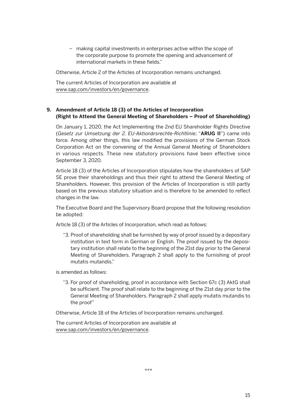– making capital investments in enterprises active within the scope of the corporate purpose to promote the opening and advancement of international markets in these fields."

Otherwise, Article 2 of the Articles of Incorporation remains unchanged.

 The current Articles of Incorporation are available at www.sap.com/investors/en/governance.

#### **9. Amendment of Article 18 (3) of the Articles of Incorporation (Right to Attend the General Meeting of Shareholders – Proof of Shareholding)**

 On January 1, 2020, the Act Implementing the 2nd EU Shareholder Rights Directive (*Gesetz zur Umsetzung der 2. EU-Aktionärsrechte-Richtlinie*; "**ARUG II**") came into force. Among other things, this law modified the provisions of the German Stock Corporation Act on the convening of the Annual General Meeting of Shareholders in various respects. These new statutory provisions have been effective since September 3, 2020.

 Article 18 (3) of the Articles of Incorporation stipulates how the shareholders of SAP SE prove their shareholdings and thus their right to attend the General Meeting of Shareholders. However, this provision of the Articles of Incorporation is still partly based on the previous statutory situation and is therefore to be amended to reflect changes in the law.

 The Executive Board and the Supervisory Board propose that the following resolution be adopted:

Article 18 (3) of the Articles of Incorporation, which read as follows:

 "3. Proof of shareholding shall be furnished by way of proof issued by a depositary institution in text form in German or English. The proof issued by the depositary institution shall relate to the beginning of the 21st day prior to the General Meeting of Shareholders. Paragraph 2 shall apply to the furnishing of proof mutatis mutandis."

is amended as follows:

 "3. For proof of shareholding, proof in accordance with Section 67c (3) AktG shall be sufficient. The proof shall relate to the beginning of the 21st day prior to the General Meeting of Shareholders. Paragraph 2 shall apply mutatis mutandis to the proof"

Otherwise, Article 18 of the Articles of Incorporation remains unchanged.

 The current Articles of Incorporation are available at www.sap.com/investors/en/governance.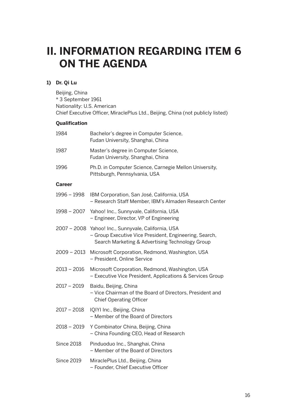### **II. INFORMATION REGARDING ITEM 6 ON THE AGENDA**

#### **1) Dr. Qi Lu**

Beijing, China \* 3 September 1961 Nationality: U.S. American Chief Executive Officer, MiraclePlus Ltd., Beijing, China (not publicly listed)

#### **Qualification**

| 1984              | Bachelor's degree in Computer Science,<br>Fudan University, Shanghai, China                                                                                      |
|-------------------|------------------------------------------------------------------------------------------------------------------------------------------------------------------|
| 1987              | Master's degree in Computer Science,<br>Fudan University, Shanghai, China                                                                                        |
| 1996              | Ph.D. in Computer Science, Carnegie Mellon University,<br>Pittsburgh, Pennsylvania, USA                                                                          |
| <b>Career</b>     |                                                                                                                                                                  |
| 1996 - 1998       | IBM Corporation, San José, California, USA<br>- Research Staff Member, IBM's Almaden Research Center                                                             |
| 1998 - 2007       | Yahoo! Inc., Sunnyvale, California, USA<br>- Engineer, Director, VP of Engineering                                                                               |
|                   | 2007 - 2008 Yahoo! Inc., Sunnyvale, California, USA<br>- Group Executive Vice President, Engineering, Search,<br>Search Marketing & Advertising Technology Group |
|                   | 2009 - 2013 Microsoft Corporation, Redmond, Washington, USA<br>- President, Online Service                                                                       |
| $2013 - 2016$     | Microsoft Corporation, Redmond, Washington, USA<br>- Executive Vice President, Applications & Services Group                                                     |
| $2017 - 2019$     | Baidu, Beijing, China<br>- Vice Chairman of the Board of Directors, President and<br><b>Chief Operating Officer</b>                                              |
| $2017 - 2018$     | IQIYI Inc., Beijing, China<br>- Member of the Board of Directors                                                                                                 |
| $2018 - 2019$     | Y Combinator China, Beijing, China<br>- China Founding CEO, Head of Research                                                                                     |
| <b>Since 2018</b> | Pinduoduo Inc., Shanghai, China<br>- Member of the Board of Directors                                                                                            |
| <b>Since 2019</b> | MiraclePlus Ltd., Beijing, China<br>- Founder, Chief Executive Officer                                                                                           |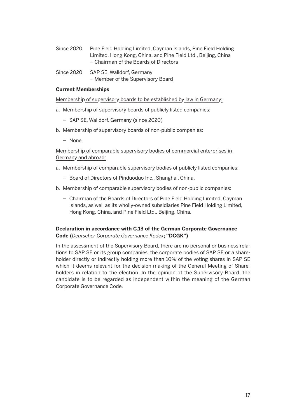- Since 2020 Pine Field Holding Limited, Cayman Islands, Pine Field Holding Limited, Hong Kong, China, and Pine Field Ltd., Beijing, China – Chairman of the Boards of Directors
- Since 2020 SAP SE, Walldorf, Germany – Member of the Supervisory Board

#### **Current Memberships**

Membership of supervisory boards to be established by law in Germany:

- a. Membership of supervisory boards of publicly listed companies:
	- SAP SE, Walldorf, Germany (since 2020)
- b. Membership of supervisory boards of non-public companies:
	- None.

 Membership of comparable supervisory bodies of commercial enterprises in Germany and abroad:

- a. Membership of comparable supervisory bodies of publicly listed companies:
	- Board of Directors of Pinduoduo Inc., Shanghai, China.
- b. Membership of comparable supervisory bodies of non-public companies:
	- Chairman of the Boards of Directors of Pine Field Holding Limited, Cayman Islands, as well as its wholly-owned subsidiaries Pine Field Holding Limited, Hong Kong, China, and Pine Field Ltd., Beijing, China.

#### **Declaration in accordance with C.13 of the German Corporate Governance Code (***Deutscher Corporate Governance Kodex***; "DCGK")**

 In the assessment of the Supervisory Board, there are no personal or business relations to SAP SE or its group companies, the corporate bodies of SAP SE or a shareholder directly or indirectly holding more than 10% of the voting shares in SAP SE which it deems relevant for the decision-making of the General Meeting of Shareholders in relation to the election. In the opinion of the Supervisory Board, the candidate is to be regarded as independent within the meaning of the German Corporate Governance Code.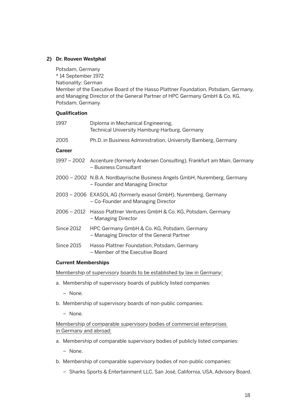#### **2) Dr. Rouven Westphal**

Potsdam, Germany

\* 14 September 1972

Nationality: German

Member of the Executive Board of the Hasso Plattner Foundation, Potsdam, Germany, and Managing Director of the General Partner of HPC Germany GmbH & Co. KG, Potsdam, Germany

#### **Qualification**

| 1997                       | Diploma in Mechanical Engineering,<br>Technical University Hamburg-Harburg, Germany                          |  |  |  |
|----------------------------|--------------------------------------------------------------------------------------------------------------|--|--|--|
| 2005                       | Ph.D. in Business Administration, University Bamberg, Germany                                                |  |  |  |
| <b>Career</b>              |                                                                                                              |  |  |  |
|                            | 1997 – 2002 Accenture (formerly Andersen Consulting), Frankfurt am Main, Germany<br>- Business Consultant    |  |  |  |
|                            | 2000 - 2002 N.B.A. Nordbayrische Business Angels GmbH, Nuremberg, Germany<br>- Founder and Managing Director |  |  |  |
|                            | 2003 – 2006 EXASOL AG (formerly exasol GmbH), Nuremberg, Germany<br>- Co-Founder and Managing Director       |  |  |  |
|                            | 2006 – 2012 Hasso Plattner Ventures GmbH & Co. KG, Potsdam, Germany<br>- Managing Director                   |  |  |  |
| Since 2012                 | HPC Germany GmbH & Co. KG, Potsdam, Germany<br>- Managing Director of the General Partner                    |  |  |  |
| Since 2015                 | Hasso Plattner Foundation, Potsdam, Germany<br>- Member of the Executive Board                               |  |  |  |
| <b>Current Memberships</b> |                                                                                                              |  |  |  |

Membership of supervisory boards to be established by law in Germany:

- a. Membership of supervisory boards of publicly listed companies:
	- None.
- b. Membership of supervisory boards of non-public companies:
	- None.

 Membership of comparable supervisory bodies of commercial enterprises in Germany and abroad:

- a. Membership of comparable supervisory bodies of publicly listed companies:
	- None.
- b. Membership of comparable supervisory bodies of non-public companies:
	- Sharks Sports & Entertainment LLC, San José, California, USA, Advisory Board.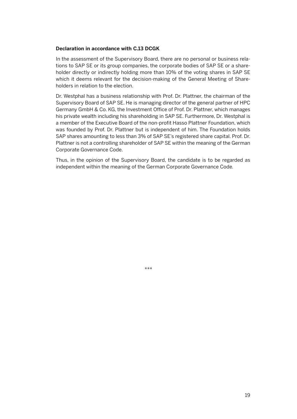#### **Declaration in accordance with C.13 DCGK**

 In the assessment of the Supervisory Board, there are no personal or business relations to SAP SE or its group companies, the corporate bodies of SAP SE or a shareholder directly or indirectly holding more than 10% of the voting shares in SAP SE which it deems relevant for the decision-making of the General Meeting of Shareholders in relation to the election.

 Dr. Westphal has a business relationship with Prof. Dr. Plattner, the chairman of the Supervisory Board of SAP SE. He is managing director of the general partner of HPC Germany GmbH & Co. KG, the Investment Office of Prof. Dr. Plattner, which manages his private wealth including his shareholding in SAP SE. Furthermore, Dr. Westphal is a member of the Executive Board of the non-profit Hasso Plattner Foundation, which was founded by Prof. Dr. Plattner but is independent of him. The Foundation holds SAP shares amounting to less than 3% of SAP SE's registered share capital. Prof. Dr. Plattner is not a controlling shareholder of SAP SE within the meaning of the German Corporate Governance Code.

 Thus, in the opinion of the Supervisory Board, the candidate is to be regarded as independent within the meaning of the German Corporate Governance Code.

\*\*\*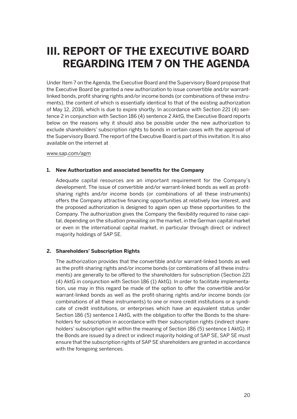## **III. REPORT OF THE EXECUTIVE BOARD REGARDING ITEM 7 ON THE AGENDA**

Under Item 7 on the Agenda, the Executive Board and the Supervisory Board propose that the Executive Board be granted a new authorization to issue convertible and/or warrantlinked bonds, profit sharing rights and/or income bonds (or combinations of these instruments), the content of which is essentially identical to that of the existing authorization of May 12, 2016, which is due to expire shortly. In accordance with Section 221 (4) sentence 2 in conjunction with Section 186 (4) sentence 2 AktG, the Executive Board reports below on the reasons why it should also be possible under the new authorization to exclude shareholders' subscription rights to bonds in certain cases with the approval of the Supervisory Board. The report of the Executive Board is part of this invitation. It is also available on the internet at

#### www.sap.com/agm

#### **1. New Authorization and associated benefits for the Company**

 Adequate capital resources are an important requirement for the Company's development. The issue of convertible and/or warrant-linked bonds as well as profitsharing rights and/or income bonds (or combinations of all these instruments) offers the Company attractive financing opportunities at relatively low interest, and the proposed authorization is designed to again open up these opportunities to the Company. The authorization gives the Company the flexibility required to raise capital, depending on the situation prevailing on the market, in the German capital market or even in the international capital market, in particular through direct or indirect majority holdings of SAP SE.

#### **2. Shareholders' Subscription Rights**

 The authorization provides that the convertible and/or warrant-linked bonds as well as the profit-sharing rights and/or income bonds (or combinations of all these instruments) are generally to be offered to the shareholders for subscription (Section 221 (4) AktG in conjunction with Section 186 (1) AktG). In order to facilitate implementation, use may in this regard be made of the option to offer the convertible and/or warrant-linked bonds as well as the profit-sharing rights and/or income bonds (or combinations of all these instruments) to one or more credit institutions or a syndicate of credit institutions, or enterprises which have an equivalent status under Section 186 (5) sentence 1 AktG, with the obligation to offer the Bonds to the shareholders for subscription in accordance with their subscription rights (indirect shareholders' subscription right within the meaning of Section 186 (5) sentence 1 AktG). If the Bonds are issued by a direct or indirect majority holding of SAP SE, SAP SE must ensure that the subscription rights of SAP SE shareholders are granted in accordance with the foregoing sentences.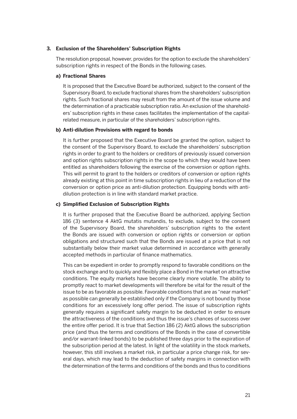#### **3. Exclusion of the Shareholders' Subscription Rights**

 The resolution proposal, however, provides for the option to exclude the shareholders' subscription rights in respect of the Bonds in the following cases.

#### **a) Fractional Shares**

 It is proposed that the Executive Board be authorized, subject to the consent of the Supervisory Board, to exclude fractional shares from the shareholders' subscription rights. Such fractional shares may result from the amount of the issue volume and the determination of a practicable subscription ratio. An exclusion of the shareholders' subscription rights in these cases facilitates the implementation of the capitalrelated measure, in particular of the shareholders' subscription rights.

#### **b) Anti-dilution Provisions with regard to bonds**

 It is further proposed that the Executive Board be granted the option, subject to the consent of the Supervisory Board, to exclude the shareholders' subscription rights in order to grant to the holders or creditors of previously issued conversion and option rights subscription rights in the scope to which they would have been entitled as shareholders following the exercise of the conversion or option rights. This will permit to grant to the holders or creditors of conversion or option rights already existing at this point in time subscription rights in lieu of a reduction of the conversion or option price as anti-dilution protection. Equipping bonds with antidilution protection is in line with standard market practice.

#### **c) Simplified Exclusion of Subscription Rights**

 It is further proposed that the Executive Board be authorized, applying Section 186 (3) sentence 4 AktG mutatis mutandis, to exclude, subject to the consent of the Supervisory Board, the shareholders' subscription rights to the extent the Bonds are issued with conversion or option rights or conversion or option obligations and structured such that the Bonds are issued at a price that is not substantially below their market value determined in accordance with generally accepted methods in particular of finance mathematics.

 This can be expedient in order to promptly respond to favorable conditions on the stock exchange and to quickly and flexibly place a Bond in the market on attractive conditions. The equity markets have become clearly more volatile. The ability to promptly react to market developments will therefore be vital for the result of the issue to be as favorable as possible. Favorable conditions that are as "near market" as possible can generally be established only if the Company is not bound by those conditions for an excessively long offer period. The issue of subscription rights generally requires a significant safety margin to be deducted in order to ensure the attractiveness of the conditions and thus the issue's chances of success over the entire offer period. It is true that Section 186 (2) AktG allows the subscription price (and thus the terms and conditions of the Bonds in the case of convertible and/or warrant-linked bonds) to be published three days prior to the expiration of the subscription period at the latest. In light of the volatility in the stock markets, however, this still involves a market risk, in particular a price change risk, for several days, which may lead to the deduction of safety margins in connection with the determination of the terms and conditions of the bonds and thus to conditions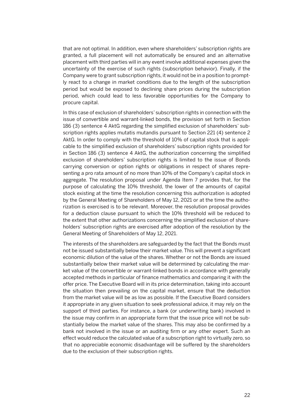that are not optimal. In addition, even where shareholders' subscription rights are granted, a full placement will not automatically be ensured and an alternative placement with third parties will in any event involve additional expenses given the uncertainty of the exercise of such rights (subscription behavior). Finally, if the Company were to grant subscription rights, it would not be in a position to promptly react to a change in market conditions due to the length of the subscription period but would be exposed to declining share prices during the subscription period, which could lead to less favorable opportunities for the Company to procure capital.

 In this case of exclusion of shareholders' subscription rights in connection with the issue of convertible and warrant-linked bonds, the provision set forth in Section 186 (3) sentence 4 AktG regarding the simplified exclusion of shareholders' subscription rights applies mutatis mutandis pursuant to Section 221 (4) sentence 2 AktG. In order to comply with the threshold of 10% of capital stock that is applicable to the simplified exclusion of shareholders' subscription rights provided for in Section 186 (3) sentence 4 AktG, the authorization concerning the simplified exclusion of shareholders' subscription rights is limited to the issue of Bonds carrying conversion or option rights or obligations in respect of shares representing a pro rata amount of no more than 10% of the Company's capital stock in aggregate. The resolution proposal under Agenda Item 7 provides that, for the purpose of calculating the 10% threshold, the lower of the amounts of capital stock existing at the time the resolution concerning this authorization is adopted by the General Meeting of Shareholders of May 12, 2021 or at the time the authorization is exercised is to be relevant. Moreover, the resolution proposal provides for a deduction clause pursuant to which the 10% threshold will be reduced to the extent that other authorizations concerning the simplified exclusion of shareholders' subscription rights are exercised after adoption of the resolution by the General Meeting of Shareholders of May 12, 2021.

 The interests of the shareholders are safeguarded by the fact that the Bonds must not be issued substantially below their market value. This will prevent a significant economic dilution of the value of the shares. Whether or not the Bonds are issued substantially below their market value will be determined by calculating the market value of the convertible or warrant-linked bonds in accordance with generally accepted methods in particular of finance mathematics and comparing it with the offer price. The Executive Board will in its price determination, taking into account the situation then prevailing on the capital market, ensure that the deduction from the market value will be as low as possible. If the Executive Board considers it appropriate in any given situation to seek professional advice, it may rely on the support of third parties. For instance, a bank (or underwriting bank) involved in the issue may confirm in an appropriate form that the issue price will not be substantially below the market value of the shares. This may also be confirmed by a bank not involved in the issue or an auditing firm or any other expert. Such an effect would reduce the calculated value of a subscription right to virtually zero, so that no appreciable economic disadvantage will be suffered by the shareholders due to the exclusion of their subscription rights.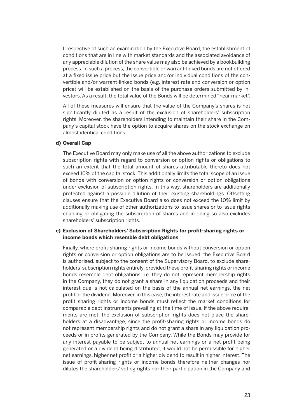Irrespective of such an examination by the Executive Board, the establishment of conditions that are in line with market standards and the associated avoidance of any appreciable dilution of the share value may also be achieved by a bookbuilding process. In such a process, the convertible or warrant-linked bonds are not offered at a fixed issue price but the issue price and/or individual conditions of the convertible and/or warrant-linked bonds (e.g. interest rate and conversion or option price) will be established on the basis of the purchase orders submitted by investors. As a result, the total value of the Bonds will be determined "near market".

 All of these measures will ensure that the value of the Company's shares is not significantly diluted as a result of the exclusion of shareholders' subscription rights. Moreover, the shareholders intending to maintain their share in the Company's capital stock have the option to acquire shares on the stock exchange on almost identical conditions.

#### **d) Overall Cap**

 The Executive Board may only make use of all the above authorizations to exclude subscription rights with regard to conversion or option rights or obligations to such an extent that the total amount of shares attributable thereto does not exceed 10% of the capital stock. This additionally limits the total scope of an issue of bonds with conversion or option rights or conversion or option obligations under exclusion of subscription rights. In this way, shareholders are additionally protected against a possible dilution of their existing shareholdings. Offsetting clauses ensure that the Executive Board also does not exceed the 10% limit by additionally making use of other authorizations to issue shares or to issue rights enabling or obligating the subscription of shares and in doing so also excludes shareholders' subscription rights.

#### **e) Exclusion of Shareholders' Subscription Rights for profit-sharing rights or income bonds which resemble debt obligations**

 Finally, where profit-sharing rights or income bonds without conversion or option rights or conversion or option obligations are to be issued, the Executive Board is authorised, subject to the consent of the Supervisory Board, to exclude shareholders' subscription rights entirely, provided these profit-sharing rights or income bonds resemble debt obligations, i.e. they do not represent membership rights in the Company, they do not grant a share in any liquidation proceeds and their interest due is not calculated on the basis of the annual net earnings, the net profit or the dividend. Moreover, in this case, the interest rate and issue price of the profit sharing rights or income bonds must reflect the market conditions for comparable debt instruments prevailing at the time of issue. If the above requirements are met, the exclusion of subscription rights does not place the shareholders at a disadvantage, since the profit-sharing rights or income bonds do not represent membership rights and do not grant a share in any liquidation proceeds or in profits generated by the Company. While the Bonds may provide for any interest payable to be subject to annual net earnings or a net profit being generated or a dividend being distributed, it would not be permissible for higher net earnings, higher net profit or a higher dividend to result in higher interest. The issue of profit-sharing rights or income bonds therefore neither changes nor dilutes the shareholders' voting rights nor their participation in the Company and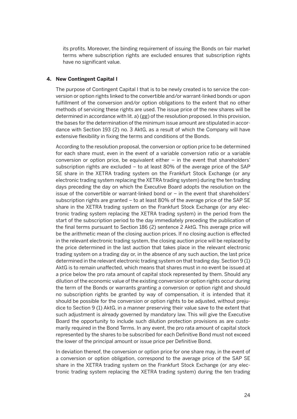its profits. Moreover, the binding requirement of issuing the Bonds on fair market terms where subscription rights are excluded ensures that subscription rights have no significant value.

#### **4. New Contingent Capital I**

 The purpose of Contingent Capital I that is to be newly created is to service the conversion or option rights linked to the convertible and/or warrant-linked bonds or upon fulfillment of the conversion and/or option obligations to the extent that no other methods of servicing these rights are used. The issue price of the new shares will be determined in accordance with lit. a) (gg) of the resolution proposed. In this provision, the bases for the determination of the minimum issue amount are stipulated in accordance with Section 193 (2) no. 3 AktG, as a result of which the Company will have extensive flexibility in fixing the terms and conditions of the Bonds.

 According to the resolution proposal, the conversion or option price to be determined for each share must, even in the event of a variable conversion ratio or a variable conversion or option price, be equivalent either – in the event that shareholders' subscription rights are excluded – to at least 80% of the average price of the SAP SE share in the XETRA trading system on the Frankfurt Stock Exchange (or any electronic trading system replacing the XETRA trading system) during the ten trading days preceding the day on which the Executive Board adopts the resolution on the issue of the convertible or warrant-linked bond or – in the event that shareholders' subscription rights are granted – to at least 80% of the average price of the SAP SE share in the XETRA trading system on the Frankfurt Stock Exchange (or any electronic trading system replacing the XETRA trading system) in the period from the start of the subscription period to the day immediately preceding the publication of the final terms pursuant to Section 186 (2) sentence 2 AktG. This average price will be the arithmetic mean of the closing auction prices. If no closing auction is effected in the relevant electronic trading system, the closing auction price will be replaced by the price determined in the last auction that takes place in the relevant electronic trading system on a trading day or, in the absence of any such auction, the last price determined in the relevant electronic trading system on that trading day. Section 9 (1) AktG is to remain unaffected, which means that shares must in no event be issued at a price below the pro rata amount of capital stock represented by them. Should any dilution of the economic value of the existing conversion or option rights occur during the term of the Bonds or warrants granting a conversion or option right and should no subscription rights be granted by way of compensation, it is intended that it should be possible for the conversion or option rights to be adjusted, without prejudice to Section 9 (1) AktG, in a manner preserving their value save to the extent that such adjustment is already governed by mandatory law. This will give the Executive Board the opportunity to include such dilution protection provisions as are customarily required in the Bond Terms. In any event, the pro rata amount of capital stock represented by the shares to be subscribed for each Definitive Bond must not exceed the lower of the principal amount or issue price per Definitive Bond.

 In deviation thereof, the conversion or option price for one share may, in the event of a conversion or option obligation, correspond to the average price of the SAP SE share in the XETRA trading system on the Frankfurt Stock Exchange (or any electronic trading system replacing the XETRA trading system) during the ten trading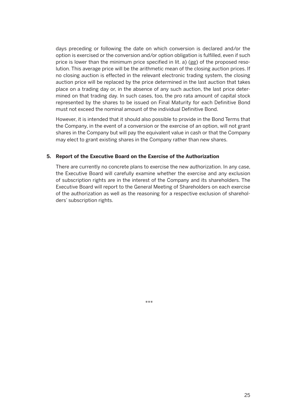days preceding or following the date on which conversion is declared and/or the option is exercised or the conversion and/or option obligation is fulfilled, even if such price is lower than the minimum price specified in lit. a) (gg) of the proposed resolution. This average price will be the arithmetic mean of the closing auction prices. If no closing auction is effected in the relevant electronic trading system, the closing auction price will be replaced by the price determined in the last auction that takes place on a trading day or, in the absence of any such auction, the last price determined on that trading day. In such cases, too, the pro rata amount of capital stock represented by the shares to be issued on Final Maturity for each Definitive Bond must not exceed the nominal amount of the individual Definitive Bond.

 However, it is intended that it should also possible to provide in the Bond Terms that the Company, in the event of a conversion or the exercise of an option, will not grant shares in the Company but will pay the equivalent value in cash or that the Company may elect to grant existing shares in the Company rather than new shares.

#### **5. Report of the Executive Board on the Exercise of the Authorization**

 There are currently no concrete plans to exercise the new authorization. In any case, the Executive Board will carefully examine whether the exercise and any exclusion of subscription rights are in the interest of the Company and its shareholders. The Executive Board will report to the General Meeting of Shareholders on each exercise of the authorization as well as the reasoning for a respective exclusion of shareholders' subscription rights.

\*\*\*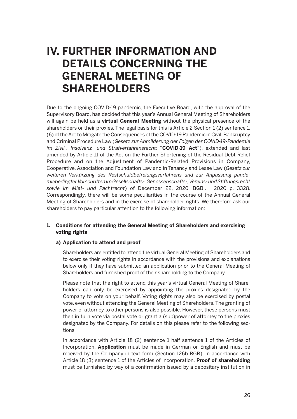### **IV. FURTHER INFORMATION AND DETAILS CONCERNING THE GENERAL MEETING OF SHAREHOLDERS**

Due to the ongoing COVID-19 pandemic, the Executive Board, with the approval of the Supervisory Board, has decided that this year's Annual General Meeting of Shareholders will again be held as a **virtual General Meeting** without the physical presence of the shareholders or their proxies. The legal basis for this is Article 2 Section 1 (2) sentence 1, (6) of the Act to Mitigate the Consequences of the COVID-19 Pandemic in Civil, Bankruptcy and Criminal Procedure Law (*Gesetz zur Abmilderung der Folgen der COVID-19-Pandemie im Zivil-, Insolvenz- und Strafverfahrensrecht*; "**COVID-19 Act**"), extended and last amended by Article 11 of the Act on the Further Shortening of the Residual Debt Relief Procedure and on the Adjustment of Pandemic-Related Provisions in Company, Cooperative, Association and Foundation Law and in Tenancy and Lease Law (*Gesetz zur weiteren Verkürzung des Restschuldbefreiungsverfahrens und zur Anpassung pandemiebedingter Vorschriften im Gesellschafts-, Genossenschafts-, Vereins- und Stiftungsrecht sowie im Miet- und Pachtrecht*) of December 22, 2020, BGBl. I 2020 p. 3328. Correspondingly, there will be some peculiarities in the course of the Annual General Meeting of Shareholders and in the exercise of shareholder rights. We therefore ask our shareholders to pay particular attention to the following information:

#### **1. Conditions for attending the General Meeting of Shareholders and exercising voting rights**

#### **a) Application to attend and proof**

 Shareholders are entitled to attend the virtual General Meeting of Shareholders and to exercise their voting rights in accordance with the provisions and explanations below only if they have submitted an application prior to the General Meeting of Shareholders and furnished proof of their shareholding to the Company.

 Please note that the right to attend this year's virtual General Meeting of Shareholders can only be exercised by appointing the proxies designated by the Company to vote on your behalf. Voting rights may also be exercised by postal vote, even without attending the General Meeting of Shareholders. The granting of power of attorney to other persons is also possible. However, these persons must then in turn vote via postal vote or grant a (sub)power of attorney to the proxies designated by the Company. For details on this please refer to the following sections.

 In accordance with Article 18 (2) sentence 1 half sentence 1 of the Articles of Incorporation, **Application** must be made in German or English and must be received by the Company in text form (Section 126b BGB). In accordance with Article 18 (3) sentence 1 of the Articles of Incorporation, **Proof of shareholding**  must be furnished by way of a confirmation issued by a depositary institution in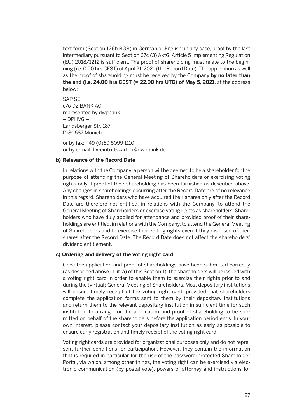text form (Section 126b BGB) in German or English; in any case, proof by the last intermediary pursuant to Section 67c (3) AktG, Article 5 Implementing Regulation (EU) 2018/1212 is sufficient. The proof of shareholding must relate to the beginning (i.e. 0.00 hrs CEST) of April 21, 2021 (the Record Date). The application as well as the proof of shareholding must be received by the Company **by no later than the end (i.e. 24.00 hrs CEST (= 22.00 hrs UTC) of May 5, 2021**, at the address below:

 SAP SE c/o DZ BANK AG represented by dwpbank – DPHVG – Landsberger Str. 187 D-80687 Munich

 or by fax: +49 (0)69 5099 1110 or by e-mail: hv-eintrittskarten@dwpbank.de

#### **b) Relevance of the Record Date**

 In relations with the Company, a person will be deemed to be a shareholder for the purpose of attending the General Meeting of Shareholders or exercising voting rights only if proof of their shareholding has been furnished as described above. Any changes in shareholdings occurring after the Record Date are of no relevance in this regard. Shareholders who have acquired their shares only after the Record Date are therefore not entitled, in relations with the Company, to attend the General Meeting of Shareholders or exercise voting rights as shareholders. Shareholders who have duly applied for attendance and provided proof of their shareholdings are entitled, in relations with the Company, to attend the General Meeting of Shareholders and to exercise their voting rights even if they disposed of their shares after the Record Date. The Record Date does not affect the shareholders' dividend entitlement.

#### **c) Ordering and delivery of the voting right card**

 Once the application and proof of shareholdings have been submitted correctly (as described above in lit. a) of this Section 1), the shareholders will be issued with a voting right card in order to enable them to exercise their rights prior to and during the (virtual) General Meeting of Shareholders. Most depositary institutions will ensure timely receipt of the voting right card, provided that shareholders complete the application forms sent to them by their depositary institutions and return them to the relevant depositary institution in sufficient time for such institution to arrange for the application and proof of shareholding to be submitted on behalf of the shareholders before the application period ends. In your own interest, please contact your depositary institution as early as possible to ensure early registration and timely receipt of the voting right card.

 Voting right cards are provided for organizational purposes only and do not represent further conditions for participation. However, they contain the information that is required in particular for the use of the password-protected Shareholder Portal, via which, among other things, the voting right can be exercised via electronic communication (by postal vote), powers of attorney and instructions for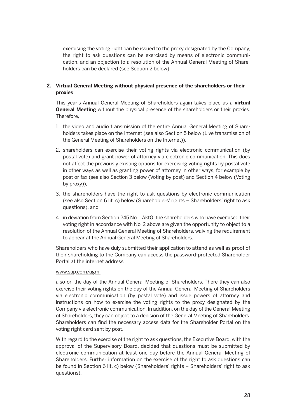exercising the voting right can be issued to the proxy designated by the Company, the right to ask questions can be exercised by means of electronic communication, and an objection to a resolution of the Annual General Meeting of Shareholders can be declared (see Section 2 below).

#### **2. Virtual General Meeting without physical presence of the shareholders or their proxies**

 This year's Annual General Meeting of Shareholders again takes place as a **virtual General Meeting** without the physical presence of the shareholders or their proxies. Therefore,

- 1. the video and audio transmission of the entire Annual General Meeting of Shareholders takes place on the Internet (see also Section 5 below (Live transmission of the General Meeting of Shareholders on the Internet)),
- 2. shareholders can exercise their voting rights via electronic communication (by postal vote) and grant power of attorney via electronic communication. This does not affect the previously existing options for exercising voting rights by postal vote in other ways as well as granting power of attorney in other ways, for example by post or fax (see also Section 3 below (Voting by post) and Section 4 below (Voting by proxy)),
- 3. the shareholders have the right to ask questions by electronic communication (see also Section 6 lit. c) below (Shareholders' rights – Shareholders' right to ask questions), and
- 4. in deviation from Section 245 No. 1 AktG, the shareholders who have exercised their voting right in accordance with No. 2 above are given the opportunity to object to a resolution of the Annual General Meeting of Shareholders, waiving the requirement to appear at the Annual General Meeting of Shareholders.

 Shareholders who have duly submitted their application to attend as well as proof of their shareholding to the Company can access the password-protected Shareholder Portal at the internet address

#### www.sap.com/agm

 also on the day of the Annual General Meeting of Shareholders. There they can also exercise their voting rights on the day of the Annual General Meeting of Shareholders via electronic communication (by postal vote) and issue powers of attorney and instructions on how to exercise the voting rights to the proxy designated by the Company via electronic communication. In addition, on the day of the General Meeting of Shareholders, they can object to a decision of the General Meeting of Shareholders. Shareholders can find the necessary access data for the Shareholder Portal on the voting right card sent by post.

 With regard to the exercise of the right to ask questions, the Executive Board, with the approval of the Supervisory Board, decided that questions must be submitted by electronic communication at least one day before the Annual General Meeting of Shareholders. Further information on the exercise of the right to ask questions can be found in Section 6 lit. c) below (Shareholders' rights – Shareholders' right to ask questions).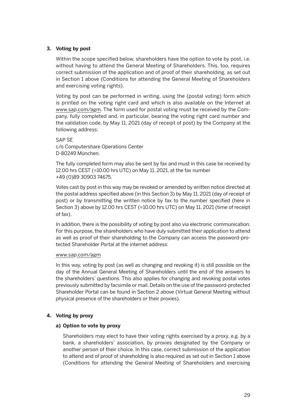#### **3. Voting by post**

 Within the scope specified below, shareholders have the option to vote by post, i.e. without having to attend the General Meeting of Shareholders. This, too, requires correct submission of the application and of proof of their shareholding, as set out in Section 1 above (Conditions for attending the General Meeting of Shareholders and exercising voting rights).

 Voting by post can be performed in writing, using the (postal voting) form which is printed on the voting right card and which is also available on the Internet at www.sap.com/agm. The form used for postal voting must be received by the Company, fully completed and, in particular, bearing the voting right card number and the validation code, by May 11, 2021 (day of receipt of post) by the Company at the following address:

#### SAP SE

c/o Computershare Operations Center D-80249 München.

 The fully completed form may also be sent by fax and must in this case be received by 12.00 hrs CEST (=10.00 hrs UTC) on May 11, 2021, at the fax number +49 (0)89 30903 74675.

 Votes cast by post in this way may be revoked or amended by written notice directed at the postal address specified above (in this Section 3) by May 11, 2021 (day of receipt of post) or by transmitting the written notice by fax to the number specified (here in Section 3) above by 12.00 hrs CEST (=10.00 hrs UTC) on May 11, 2021 (time of receipt of fax).

 In addition, there is the possibility of voting by post also via electronic communication. For this purpose, the shareholders who have duly submitted their application to attend as well as proof of their shareholding to the Company can access the password-protected Shareholder Portal at the internet address:

#### www.sap.com/agm

 In this way, voting by post (as well as changing and revoking it) is still possible on the day of the Annual General Meeting of Shareholders until the end of the answers to the shareholders' questions. This also applies for changing and revoking postal votes previously submitted by facsimile or mail. Details on the use of the password-protected Shareholder Portal can be found in Section 2 above (Virtual General Meeting without physical presence of the shareholders or their proxies).

#### **4. Voting by proxy**

#### **a) Option to vote by proxy**

 Shareholders may elect to have their voting rights exercised by a proxy, e.g. by a bank, a shareholders' association, by proxies designated by the Company or another person of their choice. In this case, correct submission of the application to attend and of proof of shareholding is also required as set out in Section 1 above (Conditions for attending the General Meeting of Shareholders and exercising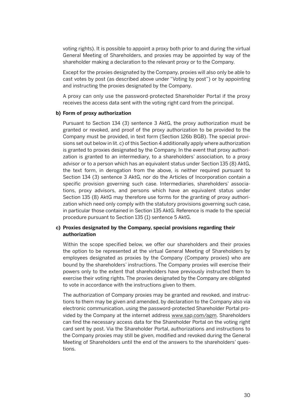voting rights). It is possible to appoint a proxy both prior to and during the virtual General Meeting of Shareholders, and proxies may be appointed by way of the shareholder making a declaration to the relevant proxy or to the Company.

 Except for the proxies designated by the Company, proxies will also only be able to cast votes by post (as described above under "Voting by post") or by appointing and instructing the proxies designated by the Company.

 A proxy can only use the password-protected Shareholder Portal if the proxy receives the access data sent with the voting right card from the principal.

#### **b) Form of proxy authorization**

 Pursuant to Section 134 (3) sentence 3 AktG, the proxy authorization must be granted or revoked, and proof of the proxy authorization to be provided to the Company must be provided, in text form (Section 126b BGB). The special provisions set out below in lit. c) of this Section 4 additionally apply where authorization is granted to proxies designated by the Company. In the event that proxy authorization is granted to an intermediary, to a shareholders' association, to a proxy advisor or to a person which has an equivalent status under Section 135 (8) AktG, the text form, in derogation from the above, is neither required pursuant to Section 134 (3) sentence 3 AktG, nor do the Articles of Incorporation contain a specific provision governing such case. Intermediaries, shareholders' associations, proxy advisors, and persons which have an equivalent status under Section 135 (8) AktG may therefore use forms for the granting of proxy authorization which need only comply with the statutory provisions governing such case, in particular those contained in Section 135 AktG. Reference is made to the special procedure pursuant to Section 135 (1) sentence 5 AktG.

#### **c) Proxies designated by the Company, special provisions regarding their authorization**

 Within the scope specified below, we offer our shareholders and their proxies the option to be represented at the virtual General Meeting of Shareholders by employees designated as proxies by the Company (Company proxies) who are bound by the shareholders' instructions. The Company proxies will exercise their powers only to the extent that shareholders have previously instructed them to exercise their voting rights. The proxies designated by the Company are obligated to vote in accordance with the instructions given to them.

 The authorization of Company proxies may be granted and revoked, and instructions to them may be given and amended, by declaration to the Company also via electronic communication, using the password-protected Shareholder Portal provided by the Company at the internet address www.sap.com/agm. Shareholders can find the necessary access data for the Shareholder Portal on the voting right card sent by post. Via the Shareholder Portal, authorizations and instructions to the Company proxies may still be given, modified and revoked during the General Meeting of Shareholders until the end of the answers to the shareholders' questions.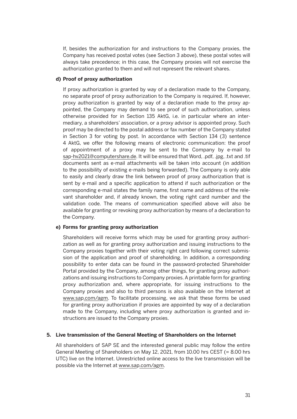If, besides the authorization for and instructions to the Company proxies, the Company has received postal votes (see Section 3 above), these postal votes will always take precedence; in this case, the Company proxies will not exercise the authorization granted to them and will not represent the relevant shares.

#### **d) Proof of proxy authorization**

 If proxy authorization is granted by way of a declaration made to the Company, no separate proof of proxy authorization to the Company is required. If, however, proxy authorization is granted by way of a declaration made to the proxy appointed, the Company may demand to see proof of such authorization, unless otherwise provided for in Section 135 AktG, i.e. in particular where an intermediary, a shareholders' association, or a proxy advisor is appointed proxy. Such proof may be directed to the postal address or fax number of the Company stated in Section 3 for voting by post. In accordance with Section 134 (3) sentence 4 AktG, we offer the following means of electronic communication: the proof of appointment of a proxy may be sent to the Company by e-mail to sap-hv2021@computershare.de. It will be ensured that Word, .pdf, .jpg, .txt and .tif documents sent as e-mail attachments will be taken into account (in addition to the possibility of existing e-mails being forwarded). The Company is only able to easily and clearly draw the link between proof of proxy authorization that is sent by e-mail and a specific application to attend if such authorization or the corresponding e-mail states the family name, first name and address of the relevant shareholder and, if already known, the voting right card number and the validation code. The means of communication specified above will also be available for granting or revoking proxy authorization by means of a declaration to the Company.

#### **e) Forms for granting proxy authorization**

 Shareholders will receive forms which may be used for granting proxy authorization as well as for granting proxy authorization and issuing instructions to the Company proxies together with their voting right card following correct submission of the application and proof of shareholding. In addition, a corresponding possibility to enter data can be found in the password-protected Shareholder Portal provided by the Company, among other things, for granting proxy authorizations and issuing instructions to Company proxies. A printable form for granting proxy authorization and, where appropriate, for issuing instructions to the Company proxies and also to third persons is also available on the Internet at www.sap.com/agm. To facilitate processing, we ask that these forms be used for granting proxy authorization if proxies are appointed by way of a declaration made to the Company, including where proxy authorization is granted and instructions are issued to the Company proxies.

#### **5. Live transmission of the General Meeting of Shareholders on the Internet**

 All shareholders of SAP SE and the interested general public may follow the entire General Meeting of Shareholders on May 12, 2021, from 10.00 hrs CEST (= 8.00 hrs UTC) live on the Internet. Unrestricted online access to the live transmission will be possible via the Internet at www.sap.com/agm.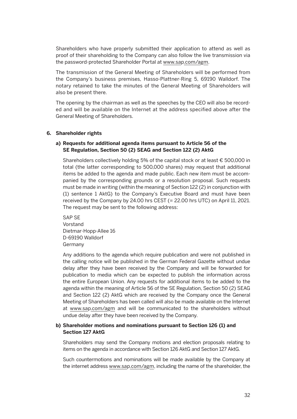Shareholders who have properly submitted their application to attend as well as proof of their shareholding to the Company can also follow the live transmission via the password-protected Shareholder Portal at www.sap.com/agm.

 The transmission of the General Meeting of Shareholders will be performed from the Company's business premises, Hasso-Plattner-Ring 5, 69190 Walldorf. The notary retained to take the minutes of the General Meeting of Shareholders will also be present there.

 The opening by the chairman as well as the speeches by the CEO will also be recorded and will be available on the Internet at the address specified above after the General Meeting of Shareholders.

#### **6. Shareholder rights**

#### **a) Requests for additional agenda items pursuant to Article 56 of the SE Regulation, Section 50 (2) SEAG and Section 122 (2) AktG**

 Shareholders collectively holding 5% of the capital stock or at least € 500,000 in total (the latter corresponding to 500,000 shares) may request that additional items be added to the agenda and made public. Each new item must be accompanied by the corresponding grounds or a resolution proposal. Such requests must be made in writing (within the meaning of Section 122 (2) in conjunction with (1) sentence 1 AktG) to the Company's Executive Board and must have been received by the Company by 24.00 hrs CEST (= 22.00 hrs UTC) on April 11, 2021. The request may be sent to the following address:

 SAP SE Vorstand Dietmar-Hopp-Allee 16 D-69190 Walldorf Germany

 Any additions to the agenda which require publication and were not published in the calling notice will be published in the German Federal Gazette without undue delay after they have been received by the Company and will be forwarded for publication to media which can be expected to publish the information across the entire European Union. Any requests for additional items to be added to the agenda within the meaning of Article 56 of the SE Regulation, Section 50 (2) SEAG and Section 122 (2) AktG which are received by the Company once the General Meeting of Shareholders has been called will also be made available on the Internet at www.sap.com/agm and will be communicated to the shareholders without undue delay after they have been received by the Company.

#### **b) Shareholder motions and nominations pursuant to Section 126 (1) and Section 127 AktG**

 Shareholders may send the Company motions and election proposals relating to items on the agenda in accordance with Section 126 AktG and Section 127 AktG.

 Such countermotions and nominations will be made available by the Company at the internet address www.sap.com/agm, including the name of the shareholder, the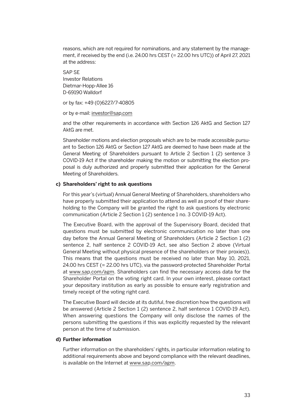reasons, which are not required for nominations, and any statement by the management, if received by the end (i.e. 24.00 hrs CEST (= 22.00 hrs UTC)) of April 27, 2021 at the address:

 SAP SE Investor Relations Dietmar-Hopp-Allee 16 D-69190 Walldorf

or by fax: +49 (0)6227/7-40805

or by e-mail: investor@sap.com

 and the other requirements in accordance with Section 126 AktG and Section 127 AktG are met.

 Shareholder motions and election proposals which are to be made accessible pursuant to Section 126 AktG or Section 127 AktG are deemed to have been made at the General Meeting of Shareholders pursuant to Article 2 Section 1 (2) sentence 3 COVID-19 Act if the shareholder making the motion or submitting the election proposal is duly authorized and properly submitted their application for the General Meeting of Shareholders.

#### **c) Shareholders' right to ask questions**

 For this year's (virtual) Annual General Meeting of Shareholders, shareholders who have properly submitted their application to attend as well as proof of their shareholding to the Company will be granted the right to ask questions by electronic communication (Article 2 Section 1 (2) sentence 1 no. 3 COVID-19 Act).

 The Executive Board, with the approval of the Supervisory Board, decided that questions must be submitted by electronic communication no later than one day before the Annual General Meeting of Shareholders (Article 2 Section 1 (2) sentence 2, half sentence 2 COVID-19 Act, see also Section 2 above (Virtual General Meeting without physical presence of the shareholders or their proxies)). This means that the questions must be received no later than May 10, 2021, 24.00 hrs CEST (= 22.00 hrs UTC), via the password-protected Shareholder Portal at www.sap.com/agm. Shareholders can find the necessary access data for the Shareholder Portal on the voting right card. In your own interest, please contact your depositary institution as early as possible to ensure early registration and timely receipt of the voting right card.

 The Executive Board will decide at its dutiful, free discretion how the questions will be answered (Article 2 Section 1 (2) sentence 2, half sentence 1 COVID-19 Act). When answering questions the Company will only disclose the names of the persons submitting the questions if this was explicitly requested by the relevant person at the time of submission.

#### **d) Further information**

 Further information on the shareholders' rights, in particular information relating to additional requirements above and beyond compliance with the relevant deadlines, is available on the Internet at www.sap.com/agm.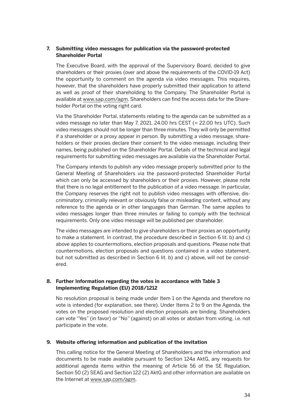#### **7. Submitting video messages for publication via the password-protected Shareholder Portal**

 The Executive Board, with the approval of the Supervisory Board, decided to give shareholders or their proxies (over and above the requirements of the COVID-19 Act) the opportunity to comment on the agenda via video messages. This requires, however, that the shareholders have properly submitted their application to attend as well as proof of their shareholding to the Company. The Shareholder Portal is available at www.sap.com/agm. Shareholders can find the access data for the Shareholder Portal on the voting right card.

 Via the Shareholder Portal, statements relating to the agenda can be submitted as a video message no later than May 7, 2021, 24.00 hrs CEST (= 22.00 hrs UTC). Such video messages should not be longer than three minutes. They will only be permitted if a shareholder or a proxy appear in person. By submitting a video message, shareholders or their proxies declare their consent to the video message, including their names, being published on the Shareholder Portal. Details of the technical and legal requirements for submitting video messages are available via the Shareholder Portal.

 The Company intends to publish any video message properly submitted prior to the General Meeting of Shareholders via the password-protected Shareholder Portal which can only be accessed by shareholders or their proxies. However, please note that there is no legal entitlement to the publication of a video message. In particular, the Company reserves the right not to publish video messages with offensive, discriminatory, criminally relevant or obviously false or misleading content, without any reference to the agenda or in other languages than German. The same applies to video messages longer than three minutes or failing to comply with the technical requirements. Only one video message will be published per shareholder.

 The video messages are intended to give shareholders or their proxies an opportunity to make a statement. In contrast, the procedure described in Section 6 lit. b) and c) above applies to countermotions, election proposals and questions. Please note that countermotions, election proposals and questions contained in a video statement, but not submitted as described in Section 6 lit. b) and c) above, will not be considered.

#### **8. Further Information regarding the votes in accordance with Table 3 Implementing Regulation (EU) 2018/1212**

 No resolution proposal is being made under Item 1 on the Agenda and therefore no vote is intended (for explanation, see there). Under Items 2 to 9 on the Agenda, the votes on the proposed resolution and election proposals are binding. Shareholders can vote "Yes" (in favor) or "No" (against) on all votes or abstain from voting, i.e. not participate in the vote.

#### **9. Website offering information and publication of the invitation**

 This calling notice for the General Meeting of Shareholders and the information and documents to be made available pursuant to Section 124a AktG, any requests for additional agenda items within the meaning of Article 56 of the SE Regulation, Section 50 (2) SEAG and Section 122 (2) AktG and other information are available on the Internet at www.sap.com/agm.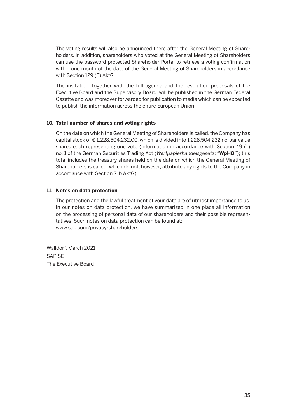The voting results will also be announced there after the General Meeting of Shareholders. In addition, shareholders who voted at the General Meeting of Shareholders can use the password-protected Shareholder Portal to retrieve a voting confirmation within one month of the date of the General Meeting of Shareholders in accordance with Section 129 (5) AktG.

 The invitation, together with the full agenda and the resolution proposals of the Executive Board and the Supervisory Board, will be published in the German Federal Gazette and was moreover forwarded for publication to media which can be expected to publish the information across the entire European Union.

#### **10. Total number of shares and voting rights**

 On the date on which the General Meeting of Shareholders is called, the Company has capital stock of  $\epsilon$  1,228,504,232.00, which is divided into 1,228,504,232 no-par value shares each representing one vote (information in accordance with Section 49 (1) no. 1 of the German Securities Trading Act (*Wertpapierhandelsgesetz*; "**WpHG**"); this total includes the treasury shares held on the date on which the General Meeting of Shareholders is called, which do not, however, attribute any rights to the Company in accordance with Section 71b AktG).

#### **11. Notes on data protection**

 The protection and the lawful treatment of your data are of utmost importance to us. In our notes on data protection, we have summarized in one place all information on the processing of personal data of our shareholders and their possible represen tatives. Such notes on data protection can be found at: www.sap.com/privacy-shareholders.

Walldorf, March 2021 SAP SE The Executive Board